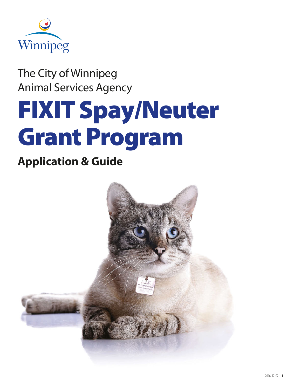

The City of Winnipeg Animal Services Agency

# FIXIT Spay/Neuter Grant Program

## **Application & Guide**

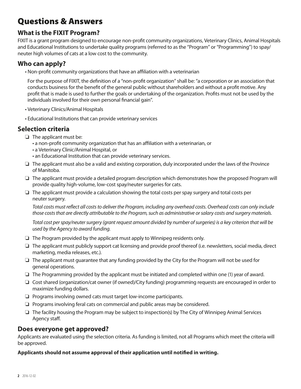## Questions & Answers

#### **What is the FIXIT Program?**

FIXIT is a grant program designed to encourage non-profit community organizations, Veterinary Clinics, Animal Hospitals and Educational Institutions to undertake quality programs (referred to as the "Program" or "Programming") to spay/ neuter high volumes of cats at a low cost to the community.

#### **Who can apply?**

• Non-profit community organizations that have an affiliation with a veterinarian

For the purpose of FIXIT, the definition of a "non-profit organization" shall be: "a corporation or an association that conducts business for the benefit of the general public without shareholders and without a profit motive. Any profit that is made is used to further the goals or undertaking of the organization. Profits must not be used by the individuals involved for their own personal financial gain".

- Veterinary Clinics/Animal Hospitals
- Educational Institutions that can provide veterinary services

#### **Selection criteria**

- ❏ The applicant must be:
	- a non-profit community organization that has an affiliation with a veterinarian, or
	- a Veterinary Clinic/Animal Hospital, or
	- an Educational Institution that can provide veterinary services.
- ❏ The applicant must also be a valid and existing corporation, duly incorporated under the laws of the Province of Manitoba.
- ❏ The applicant must provide a detailed program description which demonstrates how the proposed Program will provide quality high-volume, low-cost spay/neuter surgeries for cats.
- ❏ The applicant must provide a calculation showing the total costs per spay surgery and total costs per neuter surgery.

*Total costs must reflect all costs to deliver the Program, including any overhead costs. Overhead costs can only include those costs that are directly attributable to the Program, such as administrative or salary costs and surgery materials.* 

*Total cost per spay/neuter surgery (grant request amount divided by number of surgeries) is a key criterion that will be used by the Agency to award funding.*

- ❏ The Program provided by the applicant must apply to Winnipeg residents only.
- ❏ The applicant must publicly support cat licensing and provide proof thereof (i.e. newsletters, social media, direct marketing, media releases, etc.).
- ❏ The applicant must guarantee that any funding provided by the City for the Program will not be used for general operations.
- ❏ The Programming provided by the applicant must be initiated and completed within one (1) year of award.
- ❏ Cost shared (organization/cat owner (if owned)/City funding) programming requests are encouraged in order to maximize funding dollars.
- ❏ Programs involving owned cats must target low-income participants.
- ❏ Programs involving feral cats on commercial and public areas may be considered.
- ❏ The facility housing the Program may be subject to inspection(s) by The City of Winnipeg Animal Services Agency staff.

#### **Does everyone get approved?**

Applicants are evaluated using the selection criteria. As funding is limited, not all Programs which meet the criteria will be approved.

#### **Applicants should not assume approval of their application until notified in writing.**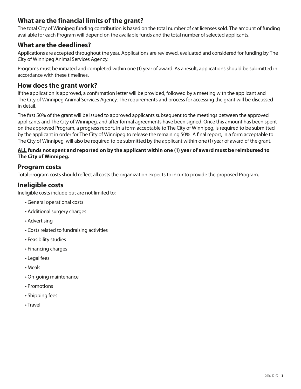#### **What are the financial limits of the grant?**

The total City of Winnipeg funding contribution is based on the total number of cat licenses sold. The amount of funding available for each Program will depend on the available funds and the total number of selected applicants.

#### **What are the deadlines?**

Applications are accepted throughout the year. Applications are reviewed, evaluated and considered for funding by The City of Winnipeg Animal Services Agency.

Programs must be initiated and completed within one (1) year of award. As a result, applications should be submitted in accordance with these timelines.

#### **How does the grant work?**

If the application is approved, a confirmation letter will be provided, followed by a meeting with the applicant and The City of Winnipeg Animal Services Agency. The requirements and process for accessing the grant will be discussed in detail.

The first 50% of the grant will be issued to approved applicants subsequent to the meetings between the approved applicants and The City of Winnipeg, and after formal agreements have been signed. Once this amount has been spent on the approved Program, a progress report, in a form acceptable to The City of Winnipeg, is required to be submitted by the applicant in order for The City of Winnipeg to release the remaining 50%. A final report, in a form acceptable to The City of Winnipeg, will also be required to be submitted by the applicant within one (1) year of award of the grant.

#### **ALL funds not spent and reported on by the applicant within one (1) year of award must be reimbursed to The City of Winnipeg.**

#### **Program costs**

Total program costs should reflect all costs the organization expects to incur to provide the proposed Program.

#### **Ineligible costs**

Ineligible costs include but are not limited to:

- General operational costs
- Additional surgery charges
- Advertising
- Costs related to fundraising activities
- Feasibility studies
- Financing charges
- Legal fees
- Meals
- On-going maintenance
- Promotions
- Shipping fees
- Travel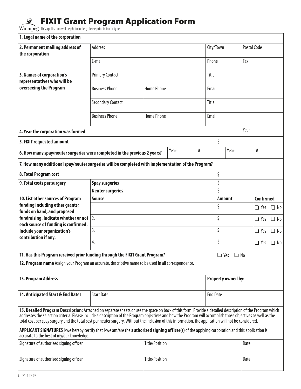## FIXIT Grant Program Application Form

This application will be photocopied; please print in ink or type.

| 1. Legal name of the corporation                                                                                                                                                                                                                                                                                                                                                                                                                                                  |                                                                        |                            |  |  |                           |                      |                                        |            |           |  |  |
|-----------------------------------------------------------------------------------------------------------------------------------------------------------------------------------------------------------------------------------------------------------------------------------------------------------------------------------------------------------------------------------------------------------------------------------------------------------------------------------|------------------------------------------------------------------------|----------------------------|--|--|---------------------------|----------------------|----------------------------------------|------------|-----------|--|--|
| 2. Permanent mailing address of<br>the corporation                                                                                                                                                                                                                                                                                                                                                                                                                                | <b>Address</b>                                                         |                            |  |  | City/Town                 |                      | Postal Code                            |            |           |  |  |
|                                                                                                                                                                                                                                                                                                                                                                                                                                                                                   | E-mail                                                                 |                            |  |  | Phone                     |                      |                                        | Fax        |           |  |  |
| 3. Names of corporation's<br>representatives who will be                                                                                                                                                                                                                                                                                                                                                                                                                          | <b>Primary Contact</b>                                                 |                            |  |  | Title                     |                      |                                        |            |           |  |  |
| overseeing the Program                                                                                                                                                                                                                                                                                                                                                                                                                                                            | <b>Business Phone</b><br><b>Home Phone</b><br><b>Secondary Contact</b> |                            |  |  | Email                     |                      |                                        |            |           |  |  |
|                                                                                                                                                                                                                                                                                                                                                                                                                                                                                   |                                                                        |                            |  |  | Title                     |                      |                                        |            |           |  |  |
|                                                                                                                                                                                                                                                                                                                                                                                                                                                                                   | <b>Business Phone</b>                                                  | <b>Home Phone</b><br>Email |  |  |                           |                      |                                        |            |           |  |  |
| Year<br>4. Year the corporation was formed                                                                                                                                                                                                                                                                                                                                                                                                                                        |                                                                        |                            |  |  |                           |                      |                                        |            |           |  |  |
| 5. FIXIT requested amount                                                                                                                                                                                                                                                                                                                                                                                                                                                         |                                                                        |                            |  |  | \$                        |                      |                                        |            |           |  |  |
| Year:<br>#<br>6. How many spay/neuter surgeries were completed in the previous 2 years?                                                                                                                                                                                                                                                                                                                                                                                           |                                                                        |                            |  |  |                           | Year:<br>#           |                                        |            |           |  |  |
| 7. How many additional spay/neuter surgeries will be completed with implementation of the Program?                                                                                                                                                                                                                                                                                                                                                                                |                                                                        |                            |  |  |                           |                      |                                        |            |           |  |  |
| 8. Total Program cost                                                                                                                                                                                                                                                                                                                                                                                                                                                             |                                                                        |                            |  |  | \$                        |                      |                                        |            |           |  |  |
| 9. Total costs per surgery                                                                                                                                                                                                                                                                                                                                                                                                                                                        | <b>Spay surgeries</b>                                                  |                            |  |  |                           | \$                   |                                        |            |           |  |  |
|                                                                                                                                                                                                                                                                                                                                                                                                                                                                                   | <b>Neuter surgeries</b>                                                |                            |  |  |                           |                      | Ś<br><b>Confirmed</b><br><b>Amount</b> |            |           |  |  |
| 10. List other sources of Program<br>funding including other grants;                                                                                                                                                                                                                                                                                                                                                                                                              | <b>Source</b><br>1.                                                    |                            |  |  |                           |                      |                                        | $\Box$ Yes | $\Box$ No |  |  |
| funds on hand; and proposed                                                                                                                                                                                                                                                                                                                                                                                                                                                       | 2.                                                                     |                            |  |  | \$                        |                      |                                        |            |           |  |  |
| fundraising. Indicate whether or not<br>each source of funding is confirmed.                                                                                                                                                                                                                                                                                                                                                                                                      |                                                                        |                            |  |  | \$                        |                      |                                        | $\Box$ Yes | $\Box$ No |  |  |
| Include your organization's                                                                                                                                                                                                                                                                                                                                                                                                                                                       | 3.                                                                     |                            |  |  |                           | \$                   |                                        |            | $\Box$ No |  |  |
| contribution if any.                                                                                                                                                                                                                                                                                                                                                                                                                                                              | 4.                                                                     |                            |  |  | \$<br>$\Box$ Yes          |                      |                                        |            | $\Box$ No |  |  |
| 11. Has this Program received prior funding through the FIXIT Grant Program?                                                                                                                                                                                                                                                                                                                                                                                                      |                                                                        |                            |  |  |                           | $\Box$ Yes $\Box$ No |                                        |            |           |  |  |
| 12. Program name Assign your Program an accurate, descriptive name to be used in all correspondence.                                                                                                                                                                                                                                                                                                                                                                              |                                                                        |                            |  |  |                           |                      |                                        |            |           |  |  |
| 13. Program Address                                                                                                                                                                                                                                                                                                                                                                                                                                                               |                                                                        |                            |  |  | <b>Property owned by:</b> |                      |                                        |            |           |  |  |
| 14. Anticipated Start & End Dates                                                                                                                                                                                                                                                                                                                                                                                                                                                 | <b>Start Date</b>                                                      |                            |  |  | <b>End Date</b>           |                      |                                        |            |           |  |  |
| 15. Detailed Program Description: Attached on separate sheets or use the space on back of this form. Provide a detailed description of the Program which<br>addresses the selection criteria. Please include a description of the Program objectives and how the Program will accomplish those objectives as well as the<br>total cost per spay surgery and the total cost per neuter surgery. Without the inclusion of this information, the application will not be considered. |                                                                        |                            |  |  |                           |                      |                                        |            |           |  |  |
| APPLICANT SIGNATURES I/we hereby certify that I/we am/are the <b>authorized signing officer(s)</b> of the applying corporation and this application is<br>accurate to the best of my/our knowledge.                                                                                                                                                                                                                                                                               |                                                                        |                            |  |  |                           |                      |                                        |            |           |  |  |
| Signature of authorized signing officer                                                                                                                                                                                                                                                                                                                                                                                                                                           | <b>Title/Position</b>                                                  |                            |  |  | Date                      |                      |                                        |            |           |  |  |
| Signature of authorized signing officer                                                                                                                                                                                                                                                                                                                                                                                                                                           | <b>Title/Position</b>                                                  |                            |  |  |                           | Date                 |                                        |            |           |  |  |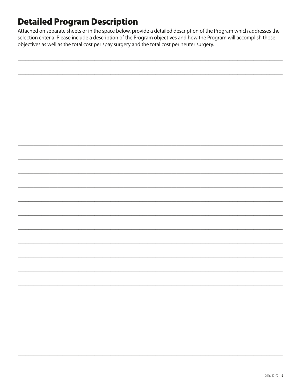## **Detailed Program Description**

Attached on separate sheets or in the space below, provide a detailed description of the Program which addresses the selection criteria. Please include a description of the Program objectives and how the Program will accomplish those objectives as well as the total cost per spay surgery and the total cost per neuter surgery.